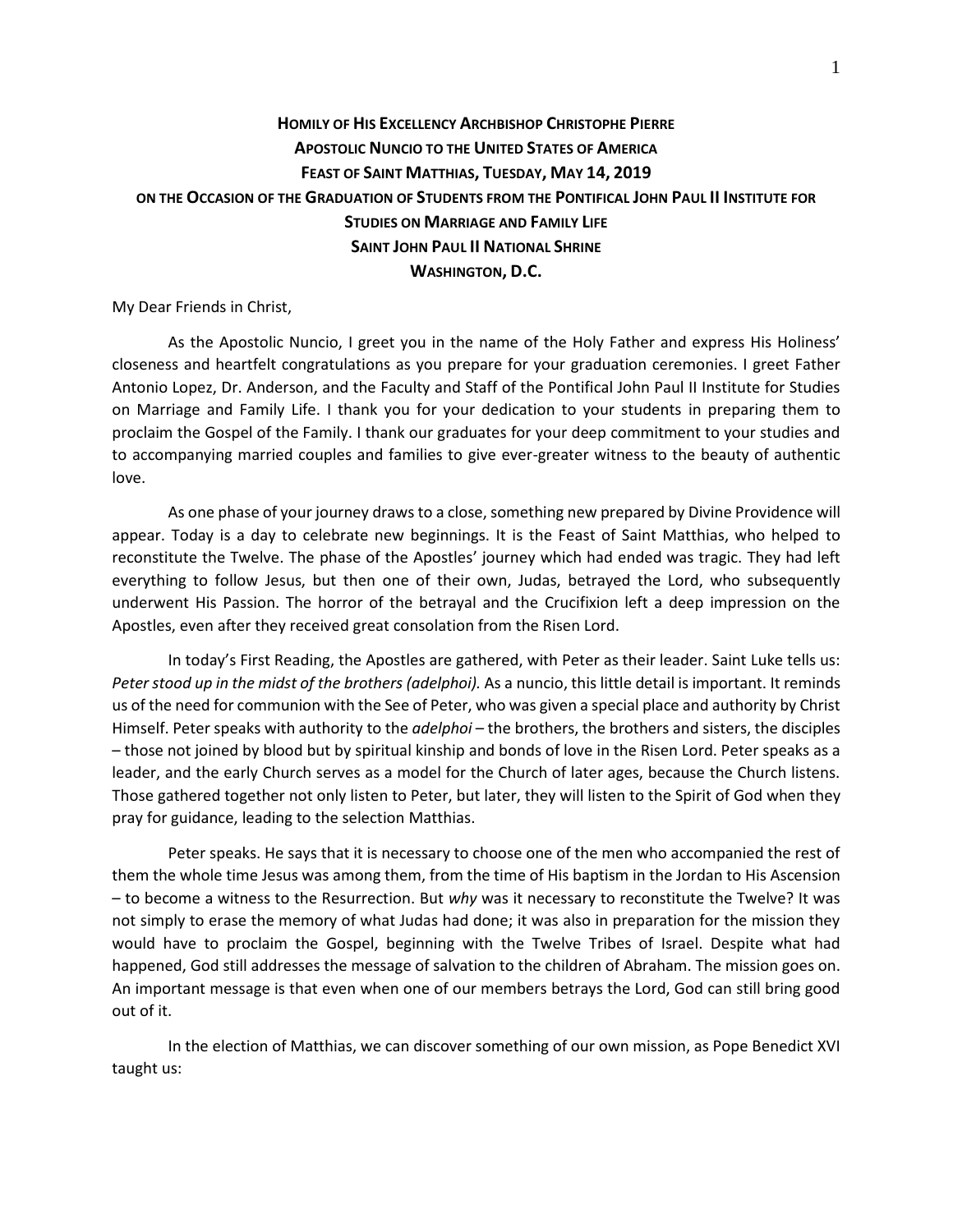## **HOMILY OF HIS EXCELLENCY ARCHBISHOP CHRISTOPHE PIERRE APOSTOLIC NUNCIO TO THE UNITED STATES OF AMERICA FEAST OF SAINT MATTHIAS, TUESDAY, MAY 14, 2019 ON THE OCCASION OF THE GRADUATION OF STUDENTS FROM THE PONTIFICAL JOHN PAUL II INSTITUTE FOR STUDIES ON MARRIAGE AND FAMILY LIFE SAINT JOHN PAUL II NATIONAL SHRINE WASHINGTON, D.C.**

My Dear Friends in Christ,

As the Apostolic Nuncio, I greet you in the name of the Holy Father and express His Holiness' closeness and heartfelt congratulations as you prepare for your graduation ceremonies. I greet Father Antonio Lopez, Dr. Anderson, and the Faculty and Staff of the Pontifical John Paul II Institute for Studies on Marriage and Family Life. I thank you for your dedication to your students in preparing them to proclaim the Gospel of the Family. I thank our graduates for your deep commitment to your studies and to accompanying married couples and families to give ever-greater witness to the beauty of authentic love.

As one phase of your journey draws to a close, something new prepared by Divine Providence will appear. Today is a day to celebrate new beginnings. It is the Feast of Saint Matthias, who helped to reconstitute the Twelve. The phase of the Apostles' journey which had ended was tragic. They had left everything to follow Jesus, but then one of their own, Judas, betrayed the Lord, who subsequently underwent His Passion. The horror of the betrayal and the Crucifixion left a deep impression on the Apostles, even after they received great consolation from the Risen Lord.

In today's First Reading, the Apostles are gathered, with Peter as their leader. Saint Luke tells us: *Peter stood up in the midst of the brothers (adelphoi).* As a nuncio, this little detail is important. It reminds us of the need for communion with the See of Peter, who was given a special place and authority by Christ Himself. Peter speaks with authority to the *adelphoi* – the brothers, the brothers and sisters, the disciples – those not joined by blood but by spiritual kinship and bonds of love in the Risen Lord. Peter speaks as a leader, and the early Church serves as a model for the Church of later ages, because the Church listens. Those gathered together not only listen to Peter, but later, they will listen to the Spirit of God when they pray for guidance, leading to the selection Matthias.

Peter speaks. He says that it is necessary to choose one of the men who accompanied the rest of them the whole time Jesus was among them, from the time of His baptism in the Jordan to His Ascension – to become a witness to the Resurrection. But *why* was it necessary to reconstitute the Twelve? It was not simply to erase the memory of what Judas had done; it was also in preparation for the mission they would have to proclaim the Gospel, beginning with the Twelve Tribes of Israel. Despite what had happened, God still addresses the message of salvation to the children of Abraham. The mission goes on. An important message is that even when one of our members betrays the Lord, God can still bring good out of it.

In the election of Matthias, we can discover something of our own mission, as Pope Benedict XVI taught us: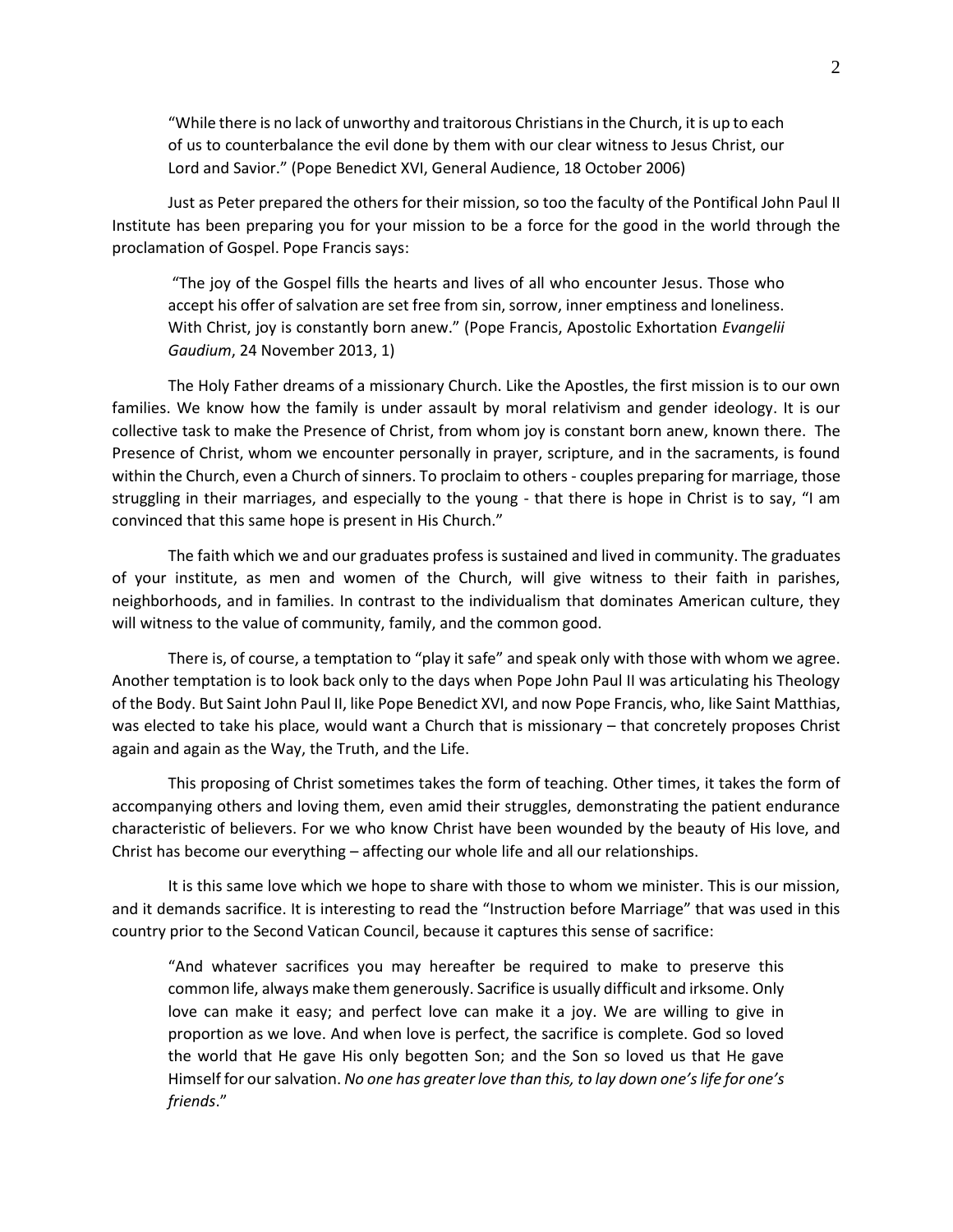"While there is no lack of unworthy and traitorous Christians in the Church, it is up to each of us to counterbalance the evil done by them with our clear witness to Jesus Christ, our Lord and Savior." (Pope Benedict XVI, General Audience, 18 October 2006)

Just as Peter prepared the others for their mission, so too the faculty of the Pontifical John Paul II Institute has been preparing you for your mission to be a force for the good in the world through the proclamation of Gospel. Pope Francis says:

"The joy of the Gospel fills the hearts and lives of all who encounter Jesus. Those who accept his offer of salvation are set free from sin, sorrow, inner emptiness and loneliness. With Christ, joy is constantly born anew." (Pope Francis, Apostolic Exhortation *Evangelii Gaudium*, 24 November 2013, 1)

The Holy Father dreams of a missionary Church. Like the Apostles, the first mission is to our own families. We know how the family is under assault by moral relativism and gender ideology. It is our collective task to make the Presence of Christ, from whom joy is constant born anew, known there. The Presence of Christ, whom we encounter personally in prayer, scripture, and in the sacraments, is found within the Church, even a Church of sinners. To proclaim to others - couples preparing for marriage, those struggling in their marriages, and especially to the young - that there is hope in Christ is to say, "I am convinced that this same hope is present in His Church."

The faith which we and our graduates profess is sustained and lived in community. The graduates of your institute, as men and women of the Church, will give witness to their faith in parishes, neighborhoods, and in families. In contrast to the individualism that dominates American culture, they will witness to the value of community, family, and the common good.

There is, of course, a temptation to "play it safe" and speak only with those with whom we agree. Another temptation is to look back only to the days when Pope John Paul II was articulating his Theology of the Body. But Saint John Paul II, like Pope Benedict XVI, and now Pope Francis, who, like Saint Matthias, was elected to take his place, would want a Church that is missionary – that concretely proposes Christ again and again as the Way, the Truth, and the Life.

This proposing of Christ sometimes takes the form of teaching. Other times, it takes the form of accompanying others and loving them, even amid their struggles, demonstrating the patient endurance characteristic of believers. For we who know Christ have been wounded by the beauty of His love, and Christ has become our everything – affecting our whole life and all our relationships.

It is this same love which we hope to share with those to whom we minister. This is our mission, and it demands sacrifice. It is interesting to read the "Instruction before Marriage" that was used in this country prior to the Second Vatican Council, because it captures this sense of sacrifice:

"And whatever sacrifices you may hereafter be required to make to preserve this common life, always make them generously. Sacrifice is usually difficult and irksome. Only love can make it easy; and perfect love can make it a joy. We are willing to give in proportion as we love. And when love is perfect, the sacrifice is complete. God so loved the world that He gave His only begotten Son; and the Son so loved us that He gave Himself for our salvation. *No one has greater love than this, to lay down one's life for one's friends*."